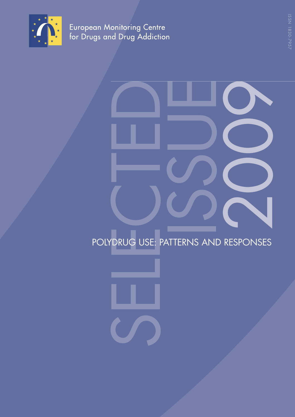

European Monitoring Centre<br>for Drugs and Drug Addiction

SELECTED POLYDRUG USE: PATTERNS AND RESPONSES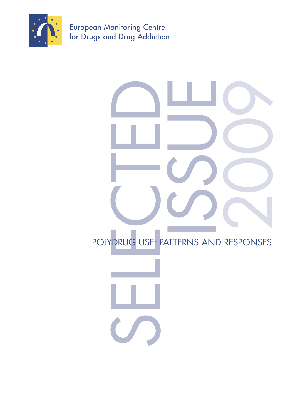

European Monitoring Centre<br>for Drugs and Drug Addiction

SELECTED POLYDRUG USE: PATTERNS AND RESPONSES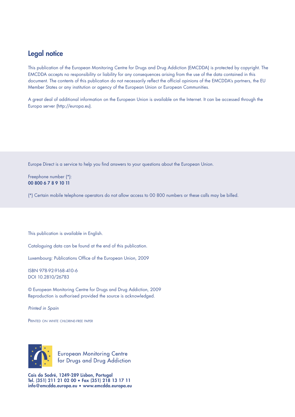# Legal notice

This publication of the European Monitoring Centre for Drugs and Drug Addiction (EMCDDA) is protected by copyright. The EMCDDA accepts no responsibility or liability for any consequences arising from the use of the data contained in this document. The contents of this publication do not necessarily reflect the official opinions of the EMCDDA's partners, the EU Member States or any institution or agency of the European Union or European Communities.

A great deal of additional information on the European Union is available on the Internet. It can be accessed through the Europa server (http://europa.eu).

Europe Direct is a service to help you find answers to your questions about the European Union.

Freephone number (\*): 00 800 6 7 8 9 10 11

(\*) Certain mobile telephone operators do not allow access to 00 800 numbers or these calls may be billed.

This publication is available in English.

Cataloguing data can be found at the end of this publication.

Luxembourg: Publications Office of the European Union, 2009

ISBN 978-92-9168-410-6 DOI 10.2810/26783

© European Monitoring Centre for Drugs and Drug Addiction, 2009 Reproduction is authorised provided the source is acknowledged.

*Printed in Spain*

PRINTED ON WHITE CHLORINE-FREE PAPER



European Monitoring Centre<br>for Drugs and Drug Addiction

Cais do Sodré, 1249-289 Lisbon, Portugal Tel. (351) 211 21 02 00 • Fax (351) 218 13 17 11 info@emcdda.europa.eu • www.emcdda.europa.eu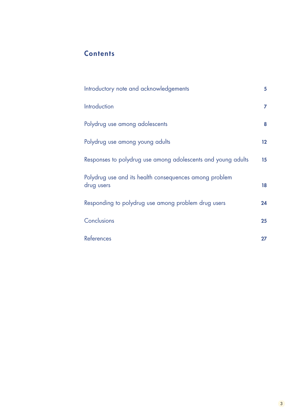# **Contents**

| Introductory note and acknowledgements                               | 5  |
|----------------------------------------------------------------------|----|
| Introduction                                                         | 7  |
| Polydrug use among adolescents                                       | 8  |
| Polydrug use among young adults                                      | 12 |
| Responses to polydrug use among adolescents and young adults         | 15 |
| Polydrug use and its health consequences among problem<br>drug users | 18 |
| Responding to polydrug use among problem drug users                  | 24 |
| Conclusions                                                          | 25 |
| <b>References</b>                                                    | 27 |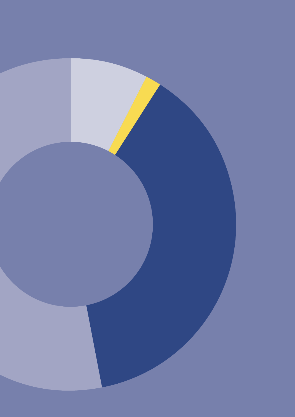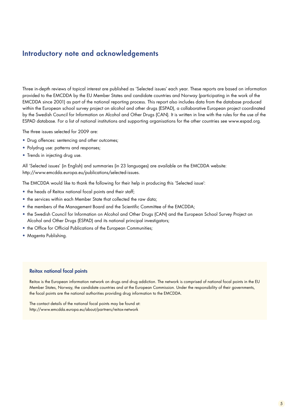# <span id="page-6-0"></span>Introductory note and acknowledgements

Three in-depth reviews of topical interest are published as 'Selected issues' each year. These reports are based on information provided to the EMCDDA by the EU Member States and candidate countries and Norway (participating in the work of the EMCDDA since 2001) as part of the national reporting process. This report also includes data from the database produced within the European school survey project on alcohol and other drugs (ESPAD), a collaborative European project coordinated by the Swedish Council for Information on Alcohol and Other Drugs (CAN). It is written in line with the rules for the use of the ESPAD database. For a list of national institutions and supporting organisations for the other countries see www.espad.org.

The three issues selected for 2009 are:

- Drug offences: sentencing and other outcomes;
- Polydrug use: patterns and responses;
- Trends in injecting drug use.

All 'Selected issues' (in English) and summaries (in 23 languages) are available on the EMCDDA website: http://www.emcdda.europa.eu/publications/selected-issues.

The EMCDDA would like to thank the following for their help in producing this 'Selected issue':

- the heads of Reitox national focal points and their staff;
- the services within each Member State that collected the raw data:
- the members of the Management Board and the Scientific Committee of the EMCDDA;
- the Swedish Council for Information on Alcohol and Other Drugs (CAN) and the European School Survey Project on Alcohol and Other Drugs (ESPAD) and its national principal investigators;
- the Office for Official Publications of the European Communities:
- Magenta Publishing.

#### Reitox national focal points

Reitox is the European information network on drugs and drug addiction. The network is comprised of national focal points in the EU Member States, Norway, the candidate countries and at the European Commission. Under the responsibility of their governments, the focal points are the national authorities providing drug information to the EMCDDA.

The contact details of the national focal points may be found at: http://www.emcdda.europa.eu/about/partners/reitox-network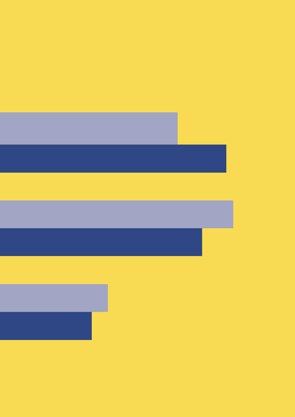

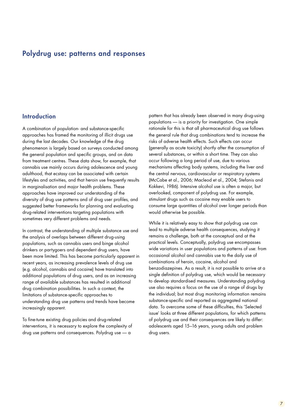# <span id="page-8-0"></span>Polydrug use: patterns and responses

# **Introduction**

A combination of population- and substance-specific approaches has framed the monitoring of illicit drugs use during the last decades. Our knowledge of the drug phenomenon is largely based on surveys conducted among the general population and specific groups, and on data from treatment centres. These data show, for example, that cannabis use mainly occurs during adolescence and young adulthood, that ecstasy can be associated with certain lifestyles and activities, and that heroin use frequently results in marginalisation and major health problems. These approaches have improved our understanding of the diversity of drug use patterns and of drug user profiles, and suggested better frameworks for planning and evaluating drug-related interventions targeting populations with sometimes very different problems and needs.

In contrast, the understanding of multiple substance use and the analysis of overlaps between different drug-using populations, such as cannabis users and binge alcohol drinkers or partygoers and dependent drug users, have been more limited. This has become particularly apparent in recent years, as increasing prevalence levels of drug use (e.g. alcohol, cannabis and cocaine) have translated into additional populations of drug users, and as an increasing range of available substances has resulted in additional drug combination possibilities. In such a context, the limitations of substance-specific approaches to understanding drug use patterns and trends have become increasingly apparent.

To fine-tune existing drug policies and drug-related interventions, it is necessary to explore the complexity of drug use patterns and consequences. Polydrug use — a

pattern that has already been observed in many drug-using populations — is a priority for investigation. One simple rationale for this is that all pharmaceutical drug use follows the general rule that drug combinations tend to increase the risks of adverse health effects. Such effects can occur (generally as acute toxicity) shortly after the consumption of several substances, or within a short time. They can also occur following a long period of use, due to various mechanisms affecting body systems, including the liver and the central nervous, cardiovascular or respiratory systems (McCabe et al., 2006; Macleod et al., 2004; Stefanis and Kokkevi, 1986). Intensive alcohol use is often a major, but overlooked, component of polydrug use. For example, stimulant drugs such as cocaine may enable users to consume large quantities of alcohol over longer periods than would otherwise be possible.

While it is relatively easy to show that polydrug use can lead to multiple adverse health consequences, studying it remains a challenge, both at the conceptual and at the practical levels. Conceptually, polydrug use encompasses wide variations in user populations and patterns of use: from occasional alcohol and cannabis use to the daily use of combinations of heroin, cocaine, alcohol and benzodiazepines. As a result, it is not possible to arrive at a single definition of polydrug use, which would be necessary to develop standardised measures. Understanding polydrug use also requires a focus on the use of a range of drugs by the individual; but most drug monitoring information remains substance-specific and reported as aggregated national data. To overcome some of these difficulties, this 'Selected issue' looks at three different populations, for which patterns of polydrug use and their consequences are likely to differ: adolescents aged 15–16 years, young adults and problem drug users.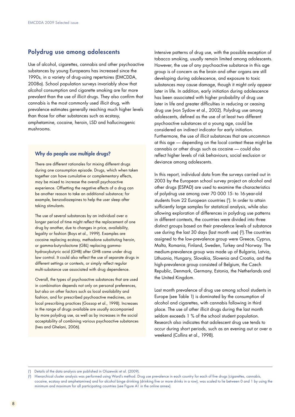# <span id="page-9-0"></span>Polydrug use among adolescents

Use of alcohol, cigarettes, cannabis and other psychoactive substances by young Europeans has increased since the 1990s, in a variety of drug-using repertoires (EMCDDA, 2008a). School population surveys invariably show that alcohol consumption and cigarette smoking are far more prevalent than the use of illicit drugs. They also confirm that cannabis is the most commonly used illicit drug, with prevalence estimates generally reaching much higher levels than those for other substances such as ecstasy, amphetamine, cocaine, heroin, LSD and hallucinogenic mushrooms.

#### Why do people use multiple drugs?

There are different rationales for mixing different drugs during one consumption episode. Drugs, which when taken together can have cumulative or complementary effects, may be mixed to increase the overall psychoactive experience. Offsetting the negative effects of a drug can be another reason to take an additional substance; for example, benzodiazepines to help the user sleep after taking stimulants.

The use of several substances by an individual over a longer period of time might reflect the replacement of one drug by another, due to changes in price, availability, legality or fashion (Boys et al., 1999). Examples are cocaine replacing ecstasy, methadone substituting heroin, or gamma-butyrolactone (GBL) replacing gammahydroxybutyric acid (GHB) after GHB came under drug law control. It could also reflect the use of separate drugs in different settings or contexts, or simply reflect regular multi-substance use associated with drug dependence.

Overall, the types of psychoactive substances that are used in combination depends not only on personal preferences, but also on other factors such as local availability and fashion, and for prescribed psychoactive medicines, on local prescribing practices (Gossop et al., 1998). Increases in the range of drugs available are usually accompanied by more polydrug use, as well as by increases in the social acceptability of combining various psychoactive substances (Ives and Ghelani, 2006).

Intensive patterns of drug use, with the possible exception of tobacco smoking, usually remain limited among adolescents. However, the use of any psychoactive substance in this age group is of concern as the brain and other organs are still developing during adolescence, and exposure to toxic substances may cause damage, though it might only appear later in life. In addition, early initiation during adolescence has been associated with higher probability of drug use later in life and greater difficulties in reducing or ceasing drug use (von Sydow et al., 2002). Polydrug use among adolescents, defined as the use of at least two different psychoactive substances at a young age, could be considered an indirect indicator for early initiation. Furthermore, the use of illicit substances that are uncommon at this age — depending on the local context these might be cannabis or other drugs such as cocaine — could also reflect higher levels of risk behaviours, social exclusion or deviance among adolescents.

In this report, individual data from the surveys carried out in 2003 by the European school survey project on alcohol and other drugs (ESPAD) are used to examine the characteristics of polydrug use among over 70 000 15- to 16-year-old students from 22 European countries ( 1 ). In order to attain sufficiently large samples for statistical analysis, while also allowing exploration of differences in polydrug use patterns in different contexts, the countries were divided into three distinct groups based on their prevalence levels of substance use during the last 30 days (last month use) (<sup>2</sup>). The countries assigned to the low-prevalence group were Greece, Cyprus, Malta, Romania, Finland, Sweden, Turkey and Norway. The medium-prevalence group was made up of Bulgaria, Latvia, Lithuania, Hungary, Slovakia, Slovenia and Croatia, and the high-prevalence group consisted of Belgium, the Czech Republic, Denmark, Germany, Estonia, the Netherlands and the United Kingdom.

Last month prevalence of drug use among school students in Europe (see Table 1) is dominated by the consumption of alcohol and cigarettes, with cannabis following in third place. The use of other illicit drugs during the last month seldom exceeds 1 % of the school student population. Research also indicates that adolescent drug use tends to occur during short periods, such as an evening out or over a weekend (Collins et al., 1998).

( 1 ) Details of the data analysis are published in Olszewski et al. (2009).

( 2) Hierarchical cluster analysis was performed using Ward's method. Drug use prevalence in each country for each of five drugs (cigarettes, cannabis, cocaine, ecstasy and amphetamines) and for alcohol binge drinking (drinking five or more drinks in a row), was scaled to lie between 0 and 1 by using the minimum and maximum for all participating countries (see Figure A1 in the online annex).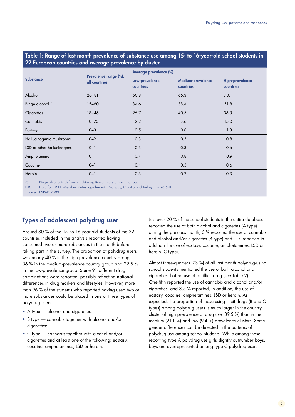| . .                        |                                        | . .                         |                                |                                     |  |  |
|----------------------------|----------------------------------------|-----------------------------|--------------------------------|-------------------------------------|--|--|
|                            |                                        | Average prevalence (%)      |                                |                                     |  |  |
| <b>Substance</b>           | Prevalence range (%),<br>all countries | Low-prevalence<br>countries | Medium-prevalence<br>countries | <b>High-prevalence</b><br>countries |  |  |
| Alcohol                    | $20 - 81$                              | 50.8                        | 65.3                           | 73.1                                |  |  |
| Binge alcohol (1)          | $15 - 60$                              | 34.6                        | 38.4                           | 51.8                                |  |  |
| Cigarettes                 | $18 - 46$                              | 26.7                        | 40.5                           | 36.3                                |  |  |
| Cannabis                   | $0 - 20$                               | 2.2                         | 7.6                            | 15.0                                |  |  |
| Ecstasy                    | $0 - 3$                                | 0.5                         | 0.8                            | 1.3                                 |  |  |
| Hallucinogenic mushrooms   | $0 - 2$                                | 0.3                         | 0.3                            | 0.8                                 |  |  |
| LSD or other hallucinogens | $0 - 1$                                | 0.3                         | 0.3                            | 0.6                                 |  |  |
| Amphetamine                | $0 - 1$                                | 0.4                         | 0.8                            | 0.9                                 |  |  |
| Cocaine                    | $0 - 1$                                | 0.4                         | 0.3                            | 0.6                                 |  |  |
| Heroin                     | $0 - 1$                                | 0.3                         | 0.2                            | 0.3                                 |  |  |
|                            |                                        |                             |                                |                                     |  |  |

# Table 1: Range of last month prevalence of substance use among 15- to 16-year-old school students in 22 European countries and average prevalence by cluster

( 1

) Binge alcohol is defined as drinking five or more drinks in a row.

NB: Data for 19 EU Member States together with Norway, Croatia and Turkey (*n* = 76 541).

*Source:* ESPAD 2003.

# Types of adolescent polydrug user

Around 30 % of the 15- to 16-year-old students of the 22 countries included in the analysis reported having consumed two or more substances in the month before taking part in the survey. The proportion of polydrug users was nearly 40 % in the high-prevalence country group, 36 % in the medium-prevalence country group and 22.5 % in the low-prevalence group. Some 91 different drug combinations were reported, possibly reflecting national differences in drug markets and lifestyles. However, more than 96 % of the students who reported having used two or more substances could be placed in one of three types of polydrug users:

- A type alcohol and cigarettes;
- B type cannabis together with alcohol and/or cigarettes;
- C type cannabis together with alcohol and/or cigarettes and at least one of the following: ecstasy, cocaine, amphetamines, LSD or heroin.

Just over 20 % of the school students in the entire database reported the use of both alcohol and cigarettes (A type) during the previous month, 6 % reported the use of cannabis and alcohol and/or cigarettes (B type) and 1 % reported in addition the use of ecstasy, cocaine, amphetamines, LSD or heroin (C type).

Almost three-quarters (73 %) of all last month polydrug-using school students mentioned the use of both alcohol and cigarettes, but no use of an illicit drug (see Table 2). One-fifth reported the use of cannabis and alcohol and/or cigarettes, and 3.5 % reported, in addition, the use of ecstasy, cocaine, amphetamines, LSD or heroin. As expected, the proportion of those using illicit drugs (B and C types) among polydrug users is much larger in the country cluster of high prevalence of drug use (39.5 %) than in the medium (21.1 %) and low (9.4 %) prevalence clusters. Some gender differences can be detected in the patterns of polydrug use among school students. While among those reporting type A polydrug use girls slightly outnumber boys, boys are overrepresented among type C polydrug users.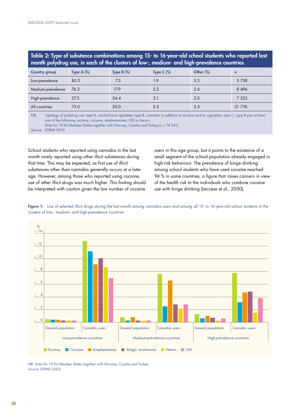| Table 2: Type of substance combinations among 15- to 16-year-old school students who reported last<br>month polydrug use, in each of the clusters of low-, medium- and high-prevalence countries |               |              |               |              |             |
|--------------------------------------------------------------------------------------------------------------------------------------------------------------------------------------------------|---------------|--------------|---------------|--------------|-------------|
| <b>Country group</b>                                                                                                                                                                             | Type $A$ $\%$ | Type $B(\%)$ | Type $C$ $\%$ | Other $(\%)$ | $\mathbf n$ |
| Low-prevalence                                                                                                                                                                                   | 85.3          | 7.5          | 1.9           | 5.3          | 5758        |
| Medium-prevalence                                                                                                                                                                                | 76.3          | 17.9         | 3.2           | 2.6          | 8 4 9 6     |
| High-prevalence                                                                                                                                                                                  | 57.5          | 34.4         | 5.1           | 3.0          | 7 5 2 2     |
| All countries                                                                                                                                                                                    | 73.0          | 20.0         | 3.5           | 3.5          | 21 7 7 6    |

NB: Typology of polydrug use: type A, alcohol and cigarettes; type B, cannabis in addition to alcohol and/or cigarettes; type C, type B plus at least one of the following: ecstasy, cocaine, amphetamines, LSD or heroin.

Data for 19 EU Member States together with Norway, Croatia and Turkey (*n* = 76 541). *Source:* ESPAD 2003.

School students who reported using cannabis in the last month rarely reported using other illicit substances during that time. This may be expected, as first use of illicit substances other than cannabis generally occurs at a later age. However, among those who reported using cocaine, use of other illicit drugs was much higher. This finding should be interpreted with caution given the low number of cocaine

users in this age group, but it points to the existence of a small segment of the school population already engaged in high-risk behaviour. The prevalence of binge drinking among school students who have used cocaine reached 94 % in some countries, a figure that raises concern in view of the health risk to the individuals who combine cocaine use with binge drinking (Leccese et al., 2000).

Figure 1: Use of selected illicit drugs during the last month among cannabis users and among all 15- to 16-year-old school students in the clusters of low-, medium- and high-prevalence countries



NB: Data for 19 EU Member States together with Norway, Croatia and Turkey. *Source:* ESPAD 2003.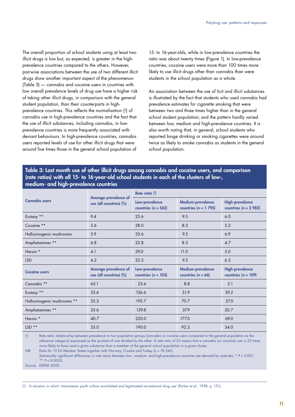The overall proportion of school students using at least two illicit drugs is low but, as expected, is greater in the highprevalence countries compared to the others. However, pairwise associations between the use of two different illicit drugs show another important aspect of the phenomenon (Table 3) — cannabis and cocaine users in countries with low overall prevalence levels of drug use have a higher risk of taking other illicit drugs, in comparison with the general student population, than their counterparts in highprevalence countries. This reflects the normalisation (3) of cannabis use in high-prevalence countries and the fact that the use of illicit substances, including cannabis, in lowprevalence countries is more frequently associated with deviant behaviours. In high-prevalence countries, cannabis users reported levels of use for other illicit drugs that were around five times those in the general school population of

15- to 16-year-olds, while in low-prevalence countries the ratio was about twenty times (Figure 1). In low-prevalence countries, cocaine users were more than 100 times more likely to use illicit drugs other than cannabis than were students in the school population as a whole.

An association between the use of licit and illicit substances is illustrated by the fact that students who used cannabis had prevalence estimates for cigarette smoking that were between two and three times higher than in the general school student population; and the pattern hardly varied between low, medium and high-prevalence countries. It is also worth noting that, in general, school students who reported binge drinking or smoking cigarettes were around twice as likely to smoke cannabis as students in the general school population.

Table 3: Last month use of other illicit drugs among cannabis and cocaine users, and comparison (rate ratios) with all 15- to 16-year-old school students in each of the clusters of low-, medium- and high-prevalence countries

| <b>Cannabis users</b>       |                                                  | Rate ratio (1)                          |                                              |                                                 |  |
|-----------------------------|--------------------------------------------------|-----------------------------------------|----------------------------------------------|-------------------------------------------------|--|
|                             | Average prevalence of<br>use (all countries) (%) | Low-prevalence<br>countries $(n = 562)$ | Medium-prevalence<br>countries $(n = 1 795)$ | High-prevalence<br>countries $(n = 2982)$       |  |
| Ecstasy **                  | 9.4                                              | 25.6                                    | 9.5                                          | 6.0                                             |  |
| Cocaine **                  | 5.6                                              | 28.0                                    | 8.3                                          | 5.3                                             |  |
| Hallucinogenic mushrooms    | 5.9                                              | 33.6                                    | 9.3                                          | 6.9                                             |  |
| Amphetamines **             | 6.8                                              | 22.8                                    | 8.3                                          | 4.7                                             |  |
| Heroin *                    | 4.1                                              | 29.0                                    | 11.0                                         | 5.0                                             |  |
| <b>LSD</b>                  | 4.2                                              | 23.3                                    | 9.3                                          | 6.3                                             |  |
| <b>Cocaine users</b>        | Average prevalence of<br>use (all countries) (%) | Low-prevalence<br>countries $(n = 103)$ | Medium-prevalence<br>countries $(n = 66)$    | <b>High-prevalence</b><br>countries $(n = 109)$ |  |
| Cannabis **                 | 65.1                                             | 25.6                                    | 8.8                                          | 5.1                                             |  |
| Ecstasy **                  | 53.6                                             | 136.6                                   | 51.9                                         | 39.2                                            |  |
| Hallucinogenic mushrooms ** | 35.3                                             | 195.7                                   | 70.7                                         | 37.0                                            |  |
| Amphetamines **             | 35.6                                             | 139.8                                   | 37.9                                         | 20.7                                            |  |
| Heroin *                    | 40.7                                             | 220.0                                   | 177.0                                        | 69.0                                            |  |
| $LSD$ **                    | 35.0                                             | 190.0                                   | 92.3                                         | 34.0                                            |  |

( 1 ) Rate ratio: relationship between prevalence in two population groups (cannabis or cocaine users compared to the general population as the reference category) expressed as the quotient of one divided by the other. A rate ratio of 25 means that a cannabis (or cocaine) user is 25 times more likely to have used a given substance than a member of the general school population in a given cluster.

NB: Data for 19 EU Member States together with Norway, Croatia and Turkey (*n* = 76 541).

Statistically significant differences in rate ratios between low-, medium- and high-prevalence countries are denoted by asterisks: \* *P* < 0.001, \*\* *P* < 0.0005.

Source: ESPAD 2003.

( 3) A situation in which 'mainstream youth culture assimilated and legitimated recreational drug use' (Parker et al., 1998, p. 151).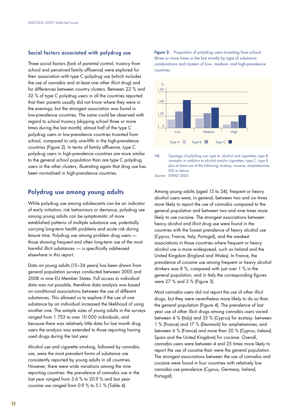#### <span id="page-13-0"></span>Social factors associated with polydrug use

Three social factors (lack of parental control, truancy from school and perceived family affluence) were explored for their association with type C polydrug use (which includes the use of cannabis and at least one other illicit drug) and for differences between country clusters. Between 22 % and 32 % of type C polydrug users in all the countries reported that their parents usually did not know where they were in the evenings; but the strongest association was found in low-prevalence countries. The same could be observed with regard to school truancy (skipping school three or more times during the last month); almost half of the type C polydrug users in low-prevalence countries truanted from school, compared to only one-fifth in the high-prevalence countries (Figure 2). In terms of family affluence, type C polydrug users in high-prevalence countries are more similar to the general school population than are type C polydrug users in the other clusters, illustrating again that drug use has been normalised in high-prevalence countries.

# Polydrug use among young adults

While polydrug use among adolescents can be an indicator of early initiation, risk behaviours or deviance, polydrug use among young adults can be symptomatic of more established patterns of multiple substance use, potentially carrying long-term health problems and acute risk during leisure time. Polydrug use among problem drug users those showing frequent and often long-term use of the most harmful illicit substances — is specifically addressed elsewhere in this report.

Data on young adults (15–34 years) has been drawn from general population surveys conducted between 2005 and 2008 in nine EU Member States. Full access to individual data was not possible, therefore data analysis was based on conditional associations between the use of different substances. This allowed us to explore if the use of one substance by an individual increased the likelihood of using another one. The sample sizes of young adults in the surveys ranged from 1 753 to over 10 000 individuals, and because there was relatively little data for last month drug users the analysis was extended to those reporting having used drugs during the last year.

Alcohol use and cigarette smoking, followed by cannabis use, were the most prevalent forms of substance use consistently reported by young adults in all countries. However, there were wide variations among the nine reporting countries: the prevalence of cannabis use in the last year ranged from 3.6 % to 20.9 % and last year cocaine use ranged from 0.9 % to 5.1 % (Table 4).

Figure 2: Proportion of polydrug users truanting from school (three or more times in the last month) by type of substance combinations and clusters of low-, medium- and high-prevalence countries



NB: Typology of polydrug use: type A, alcohol and cigarettes; type B, cannabis in addition to alcohol and/or cigarettes; type C, type B plus at least one of the following: ecstasy, cocaine, amphetamines, LSD or heroin.

*Source:* ESPAD 2003.

Among young adults (aged 15 to 34), frequent or heavy alcohol users were, in general, between two and six times more likely to report the use of cannabis compared to the general population and between two and nine times more likely to use cocaine. The strongest associations between heavy alcohol and illicit drug use were found in the countries with the lowest prevalence of heavy alcohol use (Cyprus, France, Italy, Portugal), and the weakest associations in those countries where frequent or heavy alcohol use is more widespread, such as Ireland and the United Kingdom (England and Wales). In France, the prevalence of cocaine use among frequent or heavy alcohol drinkers was 8 %, compared with just over 1 % in the general population, and in Italy the corresponding figures were 27 % and 3 % (Figure 3).

Most cannabis users did not report the use of other illicit drugs, but they were nevertheless more likely to do so than the general population (Figure 4). The prevalence of last year use of other illicit drugs among cannabis users varied between 4 % (Italy) and 35 % (Cyprus) for ecstasy; between 1 % (France) and 17 % (Denmark) for amphetamines; and between 6 % (France) and more than 20 % (Cyprus, Ireland, Spain and the United Kingdom) for cocaine. Overall, cannabis users were between 4 and 25 times more likely to report the use of cocaine than were the general population. The strongest associations between the use of cannabis and cocaine were found in four countries with relatively low cannabis use prevalence (Cyprus, Germany, Ireland, Portugal).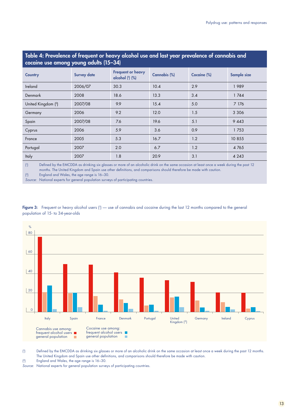| cocaine use among young adults (15-34) |                    |                                             |              |             |             |
|----------------------------------------|--------------------|---------------------------------------------|--------------|-------------|-------------|
| <b>Country</b>                         | <b>Survey date</b> | <b>Frequent or heavy</b><br>alcohol (') (%) | Cannabis (%) | Cocaine (%) | Sample size |
| Ireland                                | 2006/07            | 30.3                                        | 10.4         | 2.9         | 1989        |
| Denmark                                | 2008               | 18.6                                        | 13.3         | 3.4         | 1744        |
| United Kingdom (2)                     | 2007/08            | 9.9                                         | 15.4         | 5.0         | 7 176       |
| Germany                                | 2006               | 9.2                                         | 12.0         | 1.5         | 3 3 0 6     |
| Spain                                  | 2007/08            | 7.6                                         | 19.6         | 5.1         | 9 4 4 3     |
| Cyprus                                 | 2006               | 5.9                                         | 3.6          | 0.9         | 1753        |
| France                                 | 2005               | 5.3                                         | 16.7         | 1.2         | 10 855      |
| Portugal                               | 2007               | 2.0                                         | 6.7          | 1.2         | 4765        |
| Italy                                  | 2007               | 1.8                                         | 20.9         | 3.1         | 4 2 4 3     |

# Table 4: Prevalence of frequent or heavy alcohol use and last year prevalence of cannabis and

( 1 ) Defined by the EMCDDA as drinking six glasses or more of an alcoholic drink on the same occasion at least once a week during the past 12 months. The United Kingdom and Spain use other definitions, and comparisons should therefore be made with caution.  $\binom{2}{ }$ 2) England and Wales, the age range is 16–30.

*Source:* National experts for general population surveys of participating countries.



**Figure 3:** Frequent or heavy alcohol users (!) — use of cannabis and cocaine during the last 12 months compared to the general population of 15- to 34-year-olds

( 1 ) Defined by the EMCDDA as drinking six glasses or more of an alcoholic drink on the same occasion at least once a week during the past 12 months. The United Kingdom and Spain use other definitions, and comparisons should therefore be made with caution.

 $\binom{2}{ }$ 2) England and Wales, the age range is 16–30.

*Source:* National experts for general population surveys of participating countries.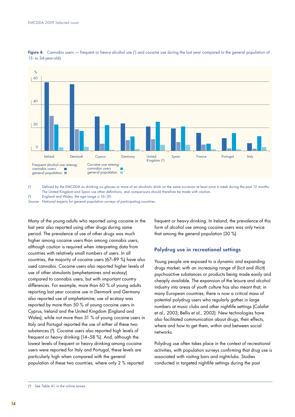

**Figure 4:** Cannabis users — frequent or heavy alcohol use (') and cocaine use during the last year compared to the general population of 15- to 34-year-olds

( 1 ) Defined by the EMCDDA as drinking six glasses or more of an alcoholic drink on the same occasion at least once a week during the past 12 months. The United Kingdom and Spain use other definitions, and comparisons should therefore be made with caution.

 $(2)$ 2) England and Wales, the age range is 16–30.

*Source:* National experts for general population surveys of participating countries.

Many of the young adults who reported using cocaine in the last year also reported using other drugs during same period. The prevalence of use of other drugs was much higher among cocaine users than among cannabis users, although caution is required when interpreting data from countries with relatively small numbers of users. In all countries, the majority of cocaine users (67–89 %) have also used cannabis. Cocaine users also reported higher levels of use of other stimulants (amphetamines and ecstasy) compared to cannabis users, but with important country differences. For example, more than 60 % of young adults reporting last year cocaine use in Denmark and Germany also reported use of amphetamine; use of ecstasy was reported by more than 50 % of young cocaine users in Cyprus, Ireland and the United Kingdom (England and Wales); while not more than 31 % of young cocaine users in Italy and Portugal reported the use of either of these two substances (4). Cocaine users also reported high levels of frequent or heavy drinking (14–58 %). And, although the lowest levels of frequent or heavy drinking among cocaine users were reported for Italy and Portugal, these levels are particularly high when compared with the general population of these two countries, where only 2 % reported

frequent or heavy drinking. In Ireland, the prevalence of this form of alcohol use among cocaine users was only twice that among the general population (30 %).

#### Polydrug use in recreational settings

Young people are exposed to a dynamic and expanding drugs market, with an increasing range of (licit and illicit) psychoactive substances or products being made easily and cheaply available. The expansion of the leisure and alcohol industry into areas of youth culture has also meant that, in many European countries, there is now a critical mass of potential polydrug users who regularly gather in large numbers at music clubs and other nightlife settings (Calafat et al., 2003; Bellis et al., 2002). New technologies have also facilitated communication about drugs, their effects, where and how to get them, within and between social networks.

Polydrug use often takes place in the context of recreational activities, with population surveys confirming that drug use is associated with visiting bars and nightclubs. Studies conducted in targeted nightlife settings during the past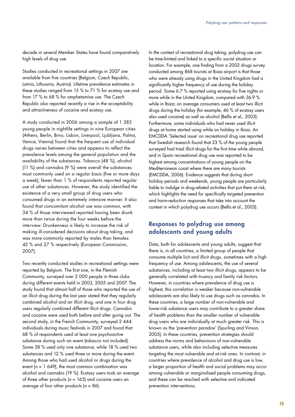<span id="page-16-0"></span>decade in several Member States have found comparatively high levels of drug use.

Studies conducted in recreational settings in 2007 are available from five countries (Belgium, Czech Republic, Latvia, Lithuania, Austria). Lifetime prevalence estimates in these studies ranged from 15 % to 71 % for ecstasy use and from 17 % to 68 % for amphetamine use. The Czech Republic also reported recently a rise in the acceptability and attractiveness of cocaine and ecstasy use.

A study conducted in 2006 among a sample of 1 383 young people in nightlife settings in nine European cities (Athens, Berlin, Brno, Lisbon, Liverpool, Ljubljana, Palma, Venice, Vienna) found that the frequent use of individual drugs varies between cities and appears to reflect the prevalence levels among the general population and the availability of the substances. Tobacco (48 %), alcohol (11 %) and cannabis (9 %) were overall the substances most commonly used on a regular basis (five or more days a week); fewer than 1 % of respondents reported regular use of other substances. However, the study identified the existence of a very small group of drug users who consumed drugs in an extremely intensive manner. It also found that concomitant alcohol use was common, with 34 % of those interviewed reported having been drunk more than twice during the four weeks before the interview. Drunkenness is likely to increase the risk of making ill-considered decisions about drug taking, and was more commonly reported by males than females: 42 % and 27 % respectively (European Commission, 2007).

Two recently conducted studies in recreational settings were reported by Belgium. The first one, in the Flemish Community, surveyed over 2 000 people in three clubs during different events held in 2003, 2005 and 2007. The study found that almost half of those who reported the use of an illicit drug during the last year stated that they regularly combined alcohol and an illicit drug, and one in four drug users regularly combined different illicit drugs. Cannabis and cocaine were used both before and after going out. The second study, in the French Community, surveyed 2 444 individuals during music festivals in 2007 and found that 68 % of respondents used at least one psychoactive substance during such an event (tobacco not included). Some 38 % used only one substance, while 18 % used two substances and 12 % used three or more during the event. Among those who had used alcohol or drugs during the event (*n* = 1 649), the most common combination was alcohol and cannabis (19 %). Ecstasy users took an average of three other products (*n* = 165) and cocaine users an average of four other products (*n* = 86).

In the context of recreational drug taking, polydrug use can be time-limited and linked to a specific social situation or location. For example, one finding from a 2002 drugs survey conducted among 868 tourists at Ibiza airport is that those who were already using drugs in the United Kingdom had a significantly higher frequency of use during the holiday period. Some 6.7 % reported using ecstasy for five nights or more while in the United Kingdom, compared with 36.9 % while in Ibiza; on average consumers used at least two illicit drugs during the holiday (for example, 46 % of ecstasy users also used cocaine) as well as alcohol (Bellis et al., 2003). Furthermore, some individuals who had never used illicit drugs at home started using while on holiday in Ibiza. An EMCDDA 'Selected issue' on recreational drug use reported that Swedish research found that 23 % of the young people surveyed had tried illicit drugs for the first time while abroad, and in Spain recreational drug use was reported to be highest among concentrations of young people on the Mediterranean coast where there are many tourists (EMCDDA, 2006). Evidence suggests that during short holiday periods and weekends, young people are particularly liable to indulge in drug-related activities that put them at risk, which highlights the need for specifically targeted prevention and harm-reduction responses that take into account the context in which polydrug use occurs (Bellis et al., 2003).

# Responses to polydrug use among adolescents and young adults

Data, both for adolescents and young adults, suggest that there is, in all countries, a limited group of people that consume multiple licit and illicit drugs, sometimes with a high frequency of use. Among adolescents, the use of several substances, including at least two illicit drugs, appears to be generally correlated with truancy and family risk factors. However, in countries where prevalence of drug use is highest, this correlation is weaker because non-vulnerable adolescents are also likely to use drugs such as cannabis. In these countries, a large number of non-vulnerable and lower-risk substance users may contribute to a greater share of health problems than the smaller number of vulnerable drug users who are individually at much greater risk. This is known as the 'prevention paradox' (Spurling and Vinson, 2005). In these countries, prevention strategies should address the norms and behaviours of non-vulnerable substance users, while also including selective measures targeting the most vulnerable and at-risk ones. In contrast, in countries where prevalence of alcohol and drug use is low, a larger proportion of health and social problems may occur among vulnerable or marginalised people consuming drugs, and these can be reached with selective and indicated prevention interventions.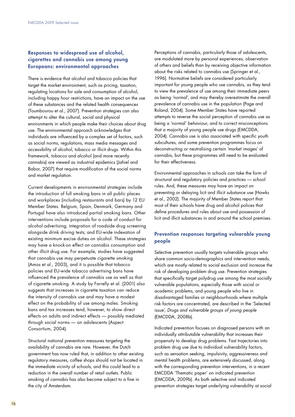# Responses to widespread use of alcohol, cigarettes and cannabis use among young Europeans: environmental approaches

There is evidence that alcohol and tobacco policies that target the market environment, such as pricing, taxation, regulating locations for sale and consumption of alcohol, including happy hour restrictions, have an impact on the use of these substances and the related health consequences (Toumbourou et al., 2007). Prevention strategies can also attempt to alter the cultural, social and physical environments in which people make their choices about drug use. The environmental approach acknowledges that individuals are influenced by a complex set of factors, such as social norms, regulations, mass media messages and accessibility of alcohol, tobacco or illicit drugs. Within this framework, tobacco and alcohol (and more recently cannabis) are viewed as industrial epidemics (Jahiel and Babor, 2007) that require modification of the social norms and market regulation.

Current developments in environmental strategies include the introduction of full smoking bans in all public places and workplaces (including restaurants and bars) by 12 EU Member States. Belgium, Spain, Denmark, Germany and Portugal have also introduced partial smoking bans. Other interventions include proposals for a code of conduct for alcohol advertising; integration of roadside drug screening alongside drink driving tests; and EU-wide indexation of existing minimum excise duties on alcohol. These strategies may have a knock-on effect on cannabis consumption and other illicit drug use. For example, studies have suggested that cannabis use may perpetuate cigarette smoking (Amos et al., 2003), and it is possible that tobacco policies and EU-wide tobacco advertising bans have influenced the prevalence of cannabis use as well as that of cigarette smoking. A study by Farrelly et al. (2001) also suggests that increases in cigarette taxation can reduce the intensity of cannabis use and may have a modest effect on the probability of use among males. Smoking bans and tax increases tend, however, to show direct effects on adults and indirect effects — possibly mediated through social norms — on adolescents (Aspect Consortium, 2004).

Structural national prevention measures targeting the availability of cannabis are rare. However, the Dutch government has now ruled that, in addition to other existing regulatory measures, coffee shops should not be located in the immediate vicinity of schools, and this could lead to a reduction in the overall number of retail outlets. Public smoking of cannabis has also become subject to a fine in the city of Amsterdam.

Perceptions of cannabis, particularly those of adolescents, are modulated more by personal experiences, observation of others and beliefs than by receiving objective information about the risks related to cannabis use (Springer et al., 1996). Normative beliefs are considered particularly important for young people who use cannabis, as they tend to view the prevalence of use among their immediate peers as being 'normal', and may thereby overestimate the overall prevalence of cannabis use in the population (Page and Roland, 2004). Some Member States have reported attempts to reverse the social perception of cannabis use as being a 'normal' behaviour, and to correct misconceptions that a majority of young people use drugs (EMCDDA, 2004). Cannabis use is also associated with specific youth subcultures, and some prevention programmes focus on deconstructing or neutralising certain 'market images' of cannabis, but these programmes still need to be evaluated for their effectiveness.

Environmental approaches in schools can take the form of structural and regulatory policies and practices — school rules. And, these measures may have an impact on preventing or delaying licit and illicit substance use (Hawks et al., 2002). The majority of Member States report that most of their schools have drug and alcohol polices that define procedures and rules about use and possession of licit and illicit substances in and around the school premises.

# Prevention responses targeting vulnerable young people

Selective prevention usually targets vulnerable groups who share common socio-demographics and intervention needs, which are mostly related to social exclusion and increase the risk of developing problem drug use. Prevention strategies that specifically target polydrug use among the most socially vulnerable populations, especially those with social or academic problems, and young people who live in disadvantaged families or neighbourhoods where multiple risk factors are concentrated, are described in the 'Selected issue', *Drugs and vulnerable groups of young people* (EMCDDA, 2008b).

Indicated prevention focuses on diagnosed persons with an individually attributable vulnerability that increases their propensity to develop drug problems. Fast trajectories into problem drug use due to individual vulnerability factors, such as sensation seeking, impulsivity, aggressiveness and mental health problems, are extensively discussed, along with the corresponding prevention interventions, in a recent EMCDDA 'Thematic paper' on indicated prevention (EMCDDA, 2009b). As both selective and indicated prevention strategies target underlying vulnerability at social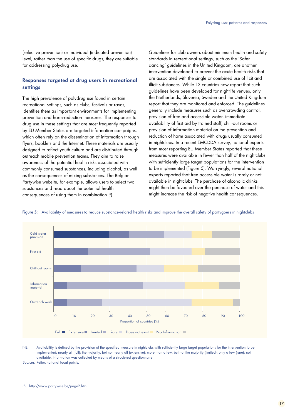(selective prevention) or individual (indicated prevention) level, rather than the use of specific drugs, they are suitable for addressing polydrug use.

## Responses targeted at drug users in recreational settings

The high prevalence of polydrug use found in certain recreational settings, such as clubs, festivals or raves, identifies them as important environments for implementing prevention and harm-reduction measures. The responses to drug use in these settings that are most frequently reported by EU Member States are targeted information campaigns, which often rely on the dissemination of information through flyers, booklets and the Internet. These materials are usually designed to reflect youth culture and are distributed through outreach mobile prevention teams. They aim to raise awareness of the potential health risks associated with commonly consumed substances, including alcohol, as well as the consequences of mixing substances. The Belgian Partywise website, for example, allows users to select two substances and read about the potential health consequences of using them in combination ( 5).

Guidelines for club owners about minimum health and safety standards in recreational settings, such as the 'Safer dancing' guidelines in the United Kingdom, are another intervention developed to prevent the acute health risks that are associated with the single or combined use of licit and illicit substances. While 12 countries now report that such guidelines have been developed for nightlife venues, only the Netherlands, Slovenia, Sweden and the United Kingdom report that they are monitored and enforced. The guidelines generally include measures such as overcrowding control, provision of free and accessible water, immediate availability of first aid by trained staff, chill-out rooms or provision of information material on the prevention and reduction of harm associated with drugs usually consumed in nightclubs. In a recent EMCDDA survey, national experts from most reporting EU Member States reported that these measures were available in fewer than half of the nightclubs with sufficiently large target populations for the intervention to be implemented (Figure 5). Worryingly, several national experts reported that free accessible water is rarely or not available in nightclubs. The purchase of alcoholic drinks might then be favoured over the purchase of water and this might increase the risk of negative health consequences.





NB: Availability is defined by the provision of the specified measure in nightclubs with sufficiently large target populations for the intervention to be implemented: nearly all (full); the majority, but not nearly all (extensive); more than a few, but not the majority (limited); only a few (rare); not available. Information was collected by means of a structured questionnaire.

*Sources:* Reitox national focal points.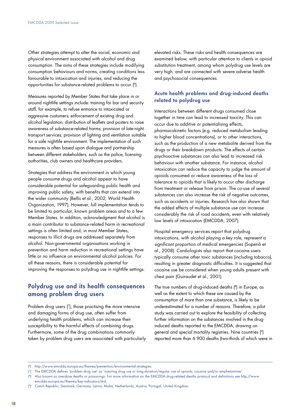<span id="page-19-0"></span>Other strategies attempt to alter the social, economic and physical environment associated with alcohol and drug consumption. The aims of these strategies include modifying consumption behaviours and norms, creating conditions less favourable to intoxication and injuries, and reducing the opportunities for substance-related problems to occur ( 6).

Measures reported by Member States that take place in or around nightlife settings include: training for bar and security staff, for example, to refuse entrance to intoxicated or aggressive customers; enforcement of existing drug and alcohol legislation; distribution of leaflets and posters to raise awareness of substance-related harms; provision of late-night transport services; provision of lighting and ventilation suitable for a safe nightlife environment. The implementation of such measures is often based upon dialogue and partnership between different stakeholders, such as the police, licensing authorities, club owners and healthcare providers.

Strategies that address the environment in which young people consume drugs and alcohol appear to have considerable potential for safeguarding public health and improving public safety, with benefits that can extend into the wider community (Bellis et al., 2002; World Health Organization, 1997). However, full implementation tends to be limited to particular, known problem areas and to a few Member States. In addition, acknowledgment that alcohol is a main contributor to substance-related harm in recreational settings is often limited and, in most Member States, responses to illicit drugs are addressed separately from alcohol. Non-governmental organisations working in prevention and harm reduction in recreational settings have little or no influence on environmental alcohol policies. For all these reasons, there is considerable potential for improving the responses to polydrug use in nightlife settings.

# Polydrug use and its health consequences among problem drug users

Problem drug users ( 7), those practising the more intensive and damaging forms of drug use, often suffer from underlying health problems, which can increase their susceptibility to the harmful effects of combining drugs. Furthermore, some of the drug combinations commonly taken by problem drug users are associated with particularly elevated risks. These risks and health consequences are examined below, with particular attention to clients in opioid substitution treatment, among whom polydrug use levels are very high, and are connected with severe adverse health and psychosocial consequences.

# Acute health problems and drug-induced deaths related to polydrug use

Interactions between different drugs consumed close together in time can lead to increased toxicity. This can occur due to additive or potentialising effects, pharmacokinetic factors (e.g. reduced metabolism leading to higher blood concentrations), or to other interactions, such as the production of a new metabolite derived from the drugs or their breakdown products. The effects of certain psychoactive substances can also lead to increased risk behaviour with another substance. For instance, alcohol intoxication can reduce the capacity to judge the amount of opioids consumed or reduce awareness of the loss of tolerance to opioids that is likely to occur after discharge from treatment or release from prison. The co-use of several substances can also increase the risk of negative outcomes, such as accidents or injuries. Research has also shown that the added effects of multiple substance use can increase considerably the risk of road accidents, even with relatively low levels of intoxication (EMCDDA, 2007).

Hospital emergency services report that polydrug intoxications, with alcohol playing a key role, represent a significant proportion of medical emergencies (Sopenã et al., 2008). Cardiologists also report that cocaine users typically consume other toxic substances (including tobacco), resulting in greater diagnostic difficulties. It is suggested that cocaine use be considered when young adults present with chest pain (Guiraudet et al., 2001).

The true numbers of drug-induced deaths (8) in Europe, as well as the extent to which these are caused by the consumption of more than one substance, is likely to be underestimated for a number of reasons. Therefore, a pilot study was carried out to explore the feasibility of collecting further information on the substances involved in the druginduced deaths reported to the EMCDDA, drawing on general and special mortality registries. Nine countries (9) reported more than 6 900 deaths (two-thirds of which were in

<sup>(</sup> 6) http://www.emcdda.europa.eu/themes/prevention/environmental-strategies

<sup>(</sup> 7) The EMCDDA defines 'problem drug use' as 'injecting drug use or long-duration/regular use of opioids, cocaine and/or amphetamines'.

<sup>(</sup> 8) Also known as overdose deaths or poisonings. For more information on the EMCDDA drug-related deaths protocol and definitions see http://www. emcdda.europa.eu/themes/key-indicators/drd.

<sup>(</sup> 9) Czech Republic, Denmark, Germany, Latvia, Malta, Netherlands, Austria, Portugal, United Kingdom.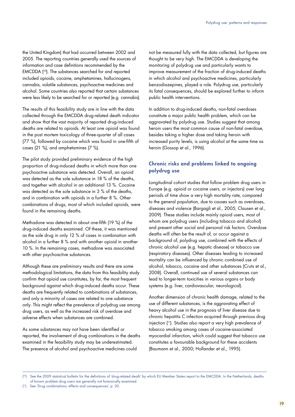the United Kingdom) that had occurred between 2002 and 2005. The reporting countries generally used the sources of information and case definitions recommended by the EMCDDA (<sup>10</sup>). The substances searched for and reported included opioids, cocaine, amphetamines, hallucinogens, cannabis, volatile substances, psychoactive medicines and alcohol. Some countries also reported that certain substances were less likely to be searched for or reported (e.g. cannabis).

The results of this feasibility study are in line with the data collected through the EMCDDA drug-related death indicator and show that the vast majority of reported drug-induced deaths are related to opioids. At least one opioid was found in the post mortem toxicology of three-quarter of all cases (77 %), followed by cocaine which was found in one-fifth of cases (21 %), and amphetamines (7 %).

The pilot study provided preliminary evidence of the high proportion of drug-induced deaths in which more than one psychoactive substance was detected. Overall, an opioid was detected as the sole substance in 18 % of the deaths, and together with alcohol in an additional 13 %. Cocaine was detected as the sole substance in 3 % of the deaths, and in combination with opioids in a further 8 %. Other combinations of drugs, most of which included opioids, were found in the remaining deaths.

Methadone was detected in about one-fifth (19 %) of the drug-induced deaths examined. Of these, it was mentioned as the sole drug in only 12 % of cases in combination with alcohol in a further 8 % and with another opioid in another 10 %. In the remaining cases, methadone was associated with other psychoactive substances.

Although these are preliminary results and there are some methodological limitations, the data from this feasibility study confirm that opioid use constitutes, by far, the most frequent background against which drug-induced deaths occur. These deaths are frequently related to combinations of substances, and only a minority of cases are related to one substance only. This might reflect the prevalence of polydrug use among drug users, as well as the increased risk of overdose and adverse effects when substances are combined.

As some substances may not have been identified or reported, the involvement of drug combinations in the deaths examined in the feasibility study may be underestimated. The presence of alcohol and psychoactive medicines could

not be measured fully with the data collected, but figures are thought to be very high. The EMCDDA is developing the monitoring of polydrug use and particularly wants to improve measurement of the fraction of drug-induced deaths in which alcohol and psychoactive medicines, particularly benzodiazepines, played a role. Polydrug use, particularly its fatal consequences, should be explored further to inform public health interventions.

In addition to drug-induced deaths, non-fatal overdoses constitute a major public health problem, which can be aggravated by polydrug use. Studies suggest that among heroin users the most common cause of non-fatal overdose, besides taking a higher dose and taking heroin with increased purity levels, is using alcohol at the same time as heroin (Gossop et al., 1996).

# Chronic risks and problems linked to ongoing polydrug use

Longitudinal cohort studies that follow problem drug users in Europe (e.g. opioid or cocaine users, or injectors) over long periods of time show a very high mortality rate, compared to the general population, due to causes such as overdoses, diseases and violence (Bargagli et al., 2005; Clausen et al., 2009). These studies include mainly opioid users, most of whom are polydrug users (including tobacco and alcohol) and present other social and personal risk factors. Overdose deaths will often be the result of, or occur against a background of, polydrug use, combined with the effects of chronic alcohol use (e.g. hepatic disease) or tobacco use (respiratory diseases). Other diseases leading to increased mortality can be influenced by chronic combined use of alcohol, tobacco, cocaine and other substances (Cruts et al., 2008). Overall, continued use of several substances can lead to longer-term toxicities in various organs or body systems (e.g. liver, cardiovascular, neurological).

Another dimension of chronic health damage, related to the use of different substances, is the aggravating effect of heavy alcohol use in the prognosis of liver disease due to chronic hepatitis C infection acquired through previous drug injection (11). Studies also report a very high prevalence of tobacco smoking among cases of cocaine-associated myocardial infarction, which could suggest that tobacco use constitutes a favourable background for these accidents (Baumann et al., 2000; Hollander et al., 1995).

<sup>(&</sup>lt;sup>10</sup>) See the 2009 statistical bulletin for the definitions of 'drug-related death' by which EU Member States report to the EMCDDA. In the Netherlands, deaths of known problem drug users are generally not forensically examined.

<sup>(</sup> 11) See 'Drug combinations: effects and consequences', p. 20.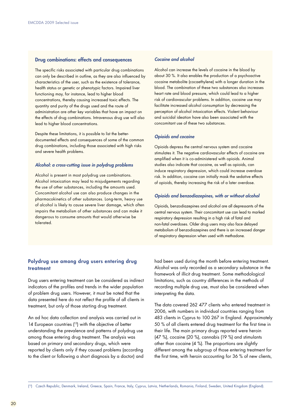#### Drug combinations: effects and consequences

The specific risks associated with particular drug combinations can only be described in outline, as they are also influenced by characteristics of the user, such as the existence of tolerance, health status or genetic or phenotypic factors. Impaired liver functioning may, for instance, lead to higher blood concentrations, thereby causing increased toxic effects. The quantity and purity of the drugs used and the route of administration are other key variables that have an impact on the effects of drug combinations. Intravenous drug use will also lead to higher blood concentrations.

Despite these limitations, it is possible to list the betterdocumented effects and consequences of some of the common drug combinations, including those associated with high risks and severe health problems.

#### *Alcohol: a cross-cutting issue in polydrug problems*

Alcohol is present in most polydrug use combinations. Alcohol intoxication may lead to misjudgements regarding the use of other substances, including the amounts used. Concomitant alcohol use can also produce changes in the pharmacokinetics of other substances. Long-term, heavy use of alcohol is likely to cause severe liver damage, which often impairs the metabolism of other substances and can make it dangerous to consume amounts that would otherwise be tolerated.

#### *Cocaine and alcohol*

Alcohol can increase the levels of cocaine in the blood by about 30 %. It also enables the production of a psychoactive cocaine metabolite (cocaethylene) with a longer duration in the blood. The combination of these two substances also increases heart rate and blood pressure, which could lead to a higher risk of cardiovascular problems. In addition, cocaine use may facilitate increased alcohol consumption by decreasing the perception of alcohol intoxication effects. Violent behaviour and suicidal ideation have also been associated with the concomitant use of these two substances.

#### *Opioids and cocaine*

Opioids depress the central nervous system and cocaine stimulates it. The negative cardiovascular effects of cocaine are amplified when it is co-administered with opioids. Animal studies also indicate that cocaine, as well as opioids, can induce respiratory depression, which could increase overdose risk. In addition, cocaine can initially mask the sedative effects of opioids, thereby increasing the risk of a later overdose.

#### *Opioids and benzodiazepines, with or without alcohol*

Opioids, benzodiazepines and alcohol are all depressants of the central nervous system. Their concomitant use can lead to marked respiratory depression resulting in a high risk of fatal and non-fatal overdoses. Older drug users may also face delayed metabolism of benzodiazepines and there is an increased danger of respiratory depression when used with methadone.

# Polydrug use among drug users entering drug treatment

Drug users entering treatment can be considered as indirect indicators of the profiles and trends in the wider population of problem drug users. However, it must be noted that the data presented here do not reflect the profile of all clients in treatment, but only of those starting drug treatment.

An ad hoc data collection and analysis was carried out in 14 European countries ( 12) with the objective of better understanding the prevalence and patterns of polydrug use among those entering drug treatment. The analysis was based on primary and secondary drugs, which were reported by clients only if they caused problems (according to the client or following a short diagnosis by a doctor) and had been used during the month before entering treatment. Alcohol was only recorded as a secondary substance in the framework of illicit drug treatment. Some methodological limitations, such as country differences in the methods of recording multiple drug use, must also be considered when interpreting the data.

The data covered 262 477 clients who entered treatment in 2006, with numbers in individual countries ranging from 483 clients in Cyprus to 100 267 in England. Approximately 50 % of all clients entered drug treatment for the first time in their life. The main primary drugs reported were heroin (47 %), cocaine (20 %), cannabis (19 %) and stimulants other than cocaine (4 %). The proportions are slightly different among the subgroup of those entering treatment for the first time, with heroin accounting for 36 % of new clients,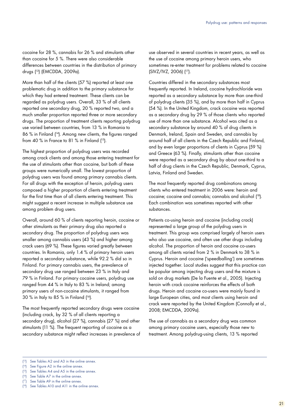cocaine for 28 %, cannabis for 26 % and stimulants other than cocaine for 5 %. There were also considerable differences between countries in the distribution of primary drugs ( 13) (EMCDDA, 2009a).

More than half of the clients (57 %) reported at least one problematic drug in addition to the primary substance for which they had entered treatment. These clients can be regarded as polydrug users. Overall, 33 % of all clients reported one secondary drug, 20 % reported two, and a much smaller proportion reported three or more secondary drugs. The proportion of treatment clients reporting polydrug use varied between countries, from 13 % in Romania to 86 % in Finland ( 14). Among new clients, the figures ranged from 40 % in France to 81 % in Finland ( $^{15}$ ).

The highest proportion of polydrug users was recorded among crack clients and among those entering treatment for the use of stimulants other than cocaine, but both of these groups were numerically small. The lowest proportion of polydrug users was found among primary cannabis clients. For all drugs with the exception of heroin, polydrug users composed a higher proportion of clients entering treatment for the first time than of all clients entering treatment. This might suggest a recent increase in multiple substance use among problem drug users.

Overall, around 60 % of clients reporting heroin, cocaine or other stimulants as their primary drug also reported a secondary drug. The proportion of polydrug users was smaller among cannabis users (43 %) and higher among crack users (69 %). These figures varied greatly between countries. In Romania, only 1.4 % of primary heroin users reported a secondary substance, while 92.2 % did so in Finland. For primary cannabis users, the prevalence of secondary drug use ranged between 23 % in Italy and 79 % in Finland. For primary cocaine users, polydrug use ranged from 44 % in Italy to 83 % in Ireland; among primary users of non-cocaine stimulants, it ranged from  $30\%$  in Italy to 85 % in Finland ( $\frac{1}{6}$ ).

The most frequently reported secondary drugs were cocaine (including crack, by 32 % of all clients reporting a secondary drug), alcohol (27 %), cannabis (27 %) and other stimulants (11 %). The frequent reporting of cocaine as a secondary substance might reflect increases in prevalence of

use observed in several countries in recent years, as well as the use of cocaine among primary heroin users, who sometimes re-enter treatment for problems related to cocaine (SIVZ/IVZ, 2006) ( 17).

Countries differed in the secondary substances most frequently reported. In Ireland, cocaine hydrochloride was reported as a secondary substance by more than one-third of polydrug clients (35 %), and by more than half in Cyprus (54 %). In the United Kingdom, crack cocaine was reported as a secondary drug by 29 % of those clients who reported use of more than one substance. Alcohol was cited as a secondary substance by around 40 % of drug clients in Denmark, Ireland, Spain and Sweden, and cannabis by around half of all clients in the Czech Republic and Finland, and by even larger proportions of clients in Cyprus (59 %) and Greece (63 %). Finally, stimulants other than cocaine were reported as a secondary drug by about one-third to a half of drug clients in the Czech Republic, Denmark, Cyprus, Latvia, Finland and Sweden.

The most frequently reported drug combinations among clients who entered treatment in 2006 were: heroin and cocaine; cocaine and cannabis; cannabis and alcohol ( 18). Each combination was sometimes reported with other substances.

Patients co-using heroin and cocaine (including crack) represented a large group of the polydrug users in treatment. This group was comprised largely of heroin users who also use cocaine, and often use other drugs including alcohol. The proportion of heroin and cocaine co-users among all clients varied from 2 % in Denmark to 38 % in Cyprus. Heroin and cocaine ('speedballing') are sometimes injected together. Local studies suggest that this practice can be popular among injecting drug users and the mixture is sold on drug markets (De la Fuente et al., 2005). Injecting heroin with crack cocaine reinforces the effects of both drugs. Heroin and cocaine co-users were mainly found in large European cities, and most clients using heroin and crack were reported by the United Kingdom (Connolly et al., 2008; EMCDDA, 2009a).

The use of cannabis as a secondary drug was common among primary cocaine users, especially those new to treatment. Among polydrug-using clients, 13 % reported

( 15) See Tables A4 and A5 in the online annex.

<sup>(</sup> 13) See Tables A2 and A3 in the online annex.

<sup>(</sup> 14) See Figure A2 in the online annex.

<sup>(</sup> 16) See Table A7 in the online annex.

<sup>(</sup> 17) See Table A9 in the online annex.

<sup>(</sup> 18) See Tables A10 and A11 in the online annex.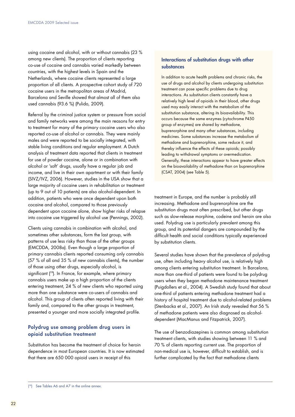using cocaine and alcohol, with or without cannabis (23 % among new clients). The proportion of clients reporting co-use of cocaine and cannabis varied markedly between countries, with the highest levels in Spain and the Netherlands, where cocaine clients represented a large proportion of all clients. A prospective cohort study of 720 cocaine users in the metropolitan areas of Madrid, Barcelona and Seville showed that almost all of them also used cannabis (93.6 %) (Pulido, 2009).

Referral by the criminal justice system or pressure from social and family networks were among the main reasons for entry to treatment for many of the primary cocaine users who also reported co-use of alcohol or cannabis. They were mainly males and were reported to be socially integrated, with stable living conditions and regular employment. A Dutch analysis of treatment data reported that clients in treatment for use of powder cocaine, alone or in combination with alcohol or 'soft' drugs, usually have a regular job and income, and live in their own apartment or with their family (SIVZ/IVZ, 2006). However, studies in the USA show that a large majority of cocaine users in rehabilitation or treatment (up to 9 out of 10 patients) are also alcohol-dependent. In addition, patients who were once dependent upon both cocaine and alcohol, compared to those previously dependent upon cocaine alone, show higher risks of relapse into cocaine use triggered by alcohol use (Pennings, 2002).

Clients using cannabis in combination with alcohol, and sometimes other substances, form the last group, with patterns of use less risky than those of the other groups (EMCDDA, 2008a). Even though a large proportion of primary cannabis clients reported consuming only cannabis (57 % of all and 35 % of new cannabis clients), the number of those using other drugs, especially alcohol, is significant ( 19). In France, for example, where primary cannabis users make up a high proportion of the clients entering treatment, 24 % of new clients who reported using more than one substance were co-users of cannabis and alcohol. This group of clients often reported living with their family and, compared to the other groups in treatment, presented a younger and more socially integrated profile.

# Polydrug use among problem drug users in opioid substitution treatment

Substitution has become the treatment of choice for heroin dependence in most European countries. It is now estimated that there are 650 000 opioid users in receipt of this

## Interactions of substitution drugs with other substances

In addition to acute health problems and chronic risks, the use of drugs and alcohol by clients undergoing substitution treatment can pose specific problems due to drug interactions. As substitution clients constantly have a relatively high level of opioids in their blood, other drugs used may easily interact with the metabolism of the substitution substance, altering its bioavailability. This occurs because the same enzymes (cytochrome P450 group of enzymes) are shared by methadone, buprenorphine and many other substances, including medicines. Some substances increase the metabolism of methadone and buprenorphine, some reduce it, and thereby influence the effects of these opioids; possibly leading to withdrawal symptoms or overmedication. Generally, these interactions appear to have greater effects on the bioavailability of methadone than on buprenorphine (CSAT, 2004) (see Table 5).

treatment in Europe, and the number is probably still increasing. Methadone and buprenorphine are the substitution drugs most often prescribed, but other drugs such as slow-release morphine, codeine and heroin are also used. Polydrug use is particularly prevalent among this group, and its potential dangers are compounded by the difficult health and social conditions typically experienced by substitution clients.

Several studies have shown that the prevalence of polydrug use, often including heavy alcohol use, is relatively high among clients entering substitution treatment. In Barcelona, more than one-third of patients were found to be polydrug users when they began methadone maintenance treatment (Puigdollers et al., 2004). A Swedish study found that about one-third of patients entering methadone treatment had a history of hospital treatment due to alcohol-related problems (Stenbacka et al., 2007). An Irish study revealed that 56 % of methadone patients were also diagnosed as alcoholdependent (MacManus and Fitzpatrick, 2007).

The use of benzodiazepines is common among substitution treatment clients, with studies showing between 11 % and 70 % of clients reporting current use. The proportion of non-medical use is, however, difficult to establish, and is further complicated by the fact that methadone clients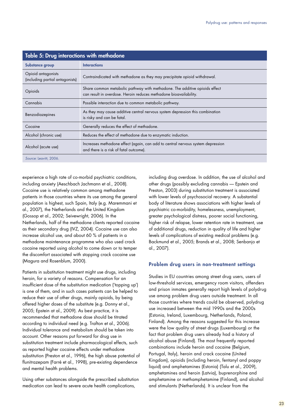| Table 5: Drug interactions with methadone             |                                                                                                                                                 |  |
|-------------------------------------------------------|-------------------------------------------------------------------------------------------------------------------------------------------------|--|
| Substance group                                       | <b>Interactions</b>                                                                                                                             |  |
| Opioid antagonists<br>(including partial antagonists) | Contraindicated with methadone as they may precipitate opioid withdrawal.                                                                       |  |
| Opioids                                               | Share common metabolic pathway with methadone. The additive opioids effect<br>can result in overdose. Heroin reduces methadone bioavailability. |  |
| Cannabis                                              | Possible interaction due to common metabolic pathway.                                                                                           |  |
| Benzodiazepines                                       | As they may cause additive central nervous system depression this combination<br>is risky and can be fatal.                                     |  |
| Cocaine                                               | Generally reduces the effect of methadone.                                                                                                      |  |
| Alcohol (chronic use)                                 | Reduces the effect of methadone due to enzymatic induction.                                                                                     |  |
| Alcohol (acute use)                                   | Increases methadone effect (again, can add to central nervous system depression<br>and there is a risk of fatal outcome).                       |  |
| Source: Leavitt, 2006.                                |                                                                                                                                                 |  |

experience a high rate of co-morbid psychiatric conditions, including anxiety (Aeschbach Jachmann et al., 2008). Cocaine use is relatively common among methadone patients in those countries where its use among the general population is highest, such Spain, Italy (e.g. Maremmani et al., 2007), the Netherlands and the United Kingdom (Gossop et al., 2002; Seivewright, 2006). In the Netherlands, half of the methadone clients reported cocaine as their secondary drug (IVZ, 2004). Cocaine use can also increase alcohol use, and about 60 % of patients in a methadone maintenance programme who also used crack cocaine reported using alcohol to come down or to temper the discomfort associated with stopping crack cocaine use (Magura and Rosenblum, 2000).

Patients in substitution treatment might use drugs, including heroin, for a variety of reasons. Compensation for an insufficient dose of the substitution medication ('topping up') is one of them, and in such cases patients can be helped to reduce their use of other drugs, mainly opioids, by being offered higher doses of the substitute (e.g. Donny et al., 2005; Epstein at al., 2009). As best practice, it is recommended that methadone dose should be titrated according to individual need (e.g. Trafton et al., 2006). Individual tolerance and metabolism should be taken into account. Other reasons put forward for drug use in substitution treatment include pharmacological effects, such as reported higher cocaine effects under methadone substitution (Preston et al., 1996), the high abuse potential of flunitrazepam (Farré et al., 1998), pre-existing dependence and mental health problems.

Using other substances alongside the prescribed substitution medication can lead to severe acute health complications,

including drug overdose. In addition, the use of alcohol and other drugs (possibly excluding cannabis — Epstein and Preston, 2003) during substitution treatment is associated with lower levels of psychosocial recovery. A substantial body of literature shows associations with higher levels of psychiatric co-morbidity, homelessness, unemployment, greater psychological distress, poorer social functioning, higher risk of relapse, lower retention rate in treatment, use of additional drugs, reduction in quality of life and higher levels of complications of existing medical problems (e.g. Backmund et al., 2005; Brands et al., 2008; Senbanjo et al., 2007).

#### Problem drug users in non-treatment settings

Studies in EU countries among street drug users, users of low-threshold services, emergency room visitors, offenders and prison inmates generally report high levels of polydrug use among problem drug users outside treatment. In all those countries where trends could be observed, polydrug use increased between the mid 1990s and the 2000s (Estonia, Ireland, Luxembourg, Netherlands, Poland, Finland). Among the reasons suggested for this increase were the low quality of street drugs (Luxembourg) or the fact that problem drug users already had a history of alcohol abuse (Finland). The most frequently reported combinations include heroin and cocaine (Belgium, Portugal, Italy), heroin and crack cocaine (United Kingdom), opioids (including heroin, fentanyl and poppy liquid) and amphetamines (Estonia) (Talu et al., 2009), amphetamines and heroin (Latvia), buprenorphine and amphetamine or methamphetamine (Finland), and alcohol and stimulants (Netherlands). It is unclear from the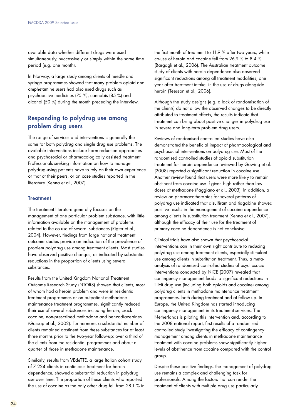<span id="page-25-0"></span>available data whether different drugs were used simultaneously, successively or simply within the same time period (e.g. one month).

In Norway, a large study among clients of needle and syringe programmes showed that many problem opioid and amphetamine users had also used drugs such as psychoactive medicines (75 %), cannabis (85 %) and alcohol (50 %) during the month preceding the interview.

# Responding to polydrug use among problem drug users

The range of services and interventions is generally the same for both polydrug and single drug use problems. The available interventions include harm-reduction approaches and psychosocial or pharmacologically assisted treatment. Professionals seeking information on how to manage polydrug-using patients have to rely on their own experience or that of their peers, or on case studies reported in the literature (Kenna et al., 2007).

#### **Treatment**

The treatment literature generally focuses on the management of one particular problem substance, with little information available on the management of problems related to the co-use of several substances (Rigter et al., 2004). However, findings from large national treatment outcome studies provide an indication of the prevalence of problem polydrug use among treatment clients. Most studies have observed positive changes, as indicated by substantial reductions in the proportion of clients using several substances.

Results from the United Kingdom National Treatment Outcome Research Study (NTORS) showed that clients, most of whom had a heroin problem and were in residential treatment programmes or on outpatient methadone maintenance treatment programmes, significantly reduced their use of several substances including heroin, crack cocaine, non-prescribed methadone and benzodiazepines (Gossop et al., 2002). Furthermore, a substantial number of clients remained abstinent from these substances for at least three months prior to the two-year follow-up: over a third of the clients from the residential programmes and about a quarter of those in methadone maintenance.

Similarly, results from VEdeTTE, a large Italian cohort study of 7 224 clients in continuous treatment for heroin dependence, showed a substantial reduction in polydrug use over time. The proportion of these clients who reported the use of cocaine as the only other drug fell from 28.1 % in the first month of treatment to 11.9 % after two years, while co-use of heroin and cocaine fell from 26.9 % to 8.4 % (Bargagli et al., 2006). The Australian treatment outcome study of clients with heroin dependence also observed significant reductions among all treatment modalities, one year after treatment intake, in the use of drugs alongside heroin (Teesson et al., 2006).

Although the study designs (e.g. a lack of randomisation of the clients) do not allow the observed changes to be directly attributed to treatment effects, the results indicate that treatment can bring about positive changes in polydrug use in severe and long-term problem drug users.

Reviews of randomised controlled studies have also demonstrated the beneficial impact of pharmacological and psychosocial interventions on polydrug use. Most of the randomised controlled studies of opioid substitution treatment for heroin dependence reviewed by Gowing et al. (2008) reported a significant reduction in cocaine use. Another review found that users were more likely to remain abstinent from cocaine use if given high rather than low doses of methadone (Faggiano et al., 2003). In addition, a review on pharmacotherapies for several patterns of polydrug use indicated that disulfiram and tiagabine showed positive results in the management of cocaine dependence among clients in substitution treatment (Kenna et al., 2007), although the efficacy of their use for the treatment of primary cocaine dependence is not conclusive.

Clinical trials have also shown that psychosocial interventions can in their own right contribute to reducing polydrug use among treatment clients, especially stimulant use among clients in substitution treatment. Thus, a metaanalysis of randomised controlled studies of psychosocial interventions conducted by NICE (2007) revealed that contingency management leads to significant reductions in illicit drug use (including both opioids and cocaine) among polydrug clients in methadone maintenance treatment programmes, both during treatment and at follow-up. In Europe, the United Kingdom has started introducing contingency management in its treatment services. The Netherlands is piloting this intervention and, according to the 2008 national report, first results of a randomised controlled study investigating the efficacy of contingency management among clients in methadone maintenance treatment with cocaine problems show significantly higher levels of abstinence from cocaine compared with the control group.

Despite these positive findings, the management of polydrug use remains a complex and challenging task for professionals. Among the factors that can render the treatment of clients with multiple drug use particularly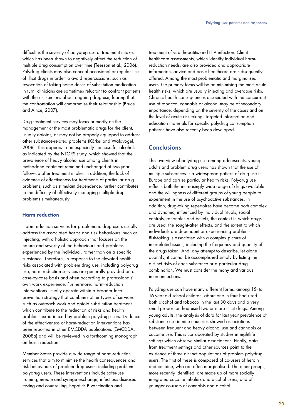<span id="page-26-0"></span>difficult is the severity of polydrug use at treatment intake, which has been shown to negatively affect the reduction of multiple drug consumption over time (Teesson et al., 2006). Polydrug clients may also conceal occasional or regular use of illicit drugs in order to avoid repercussions, such as revocation of taking home doses of substitution medication. In turn, clinicians are sometimes reluctant to confront patients with their suspicions about ongoing drug use, fearing that the confrontation will compromise their relationship (Bruce and Altice, 2007).

Drug treatment services may focus primarily on the management of the most problematic drugs for the client, usually opioids, or may not be properly equipped to address other substance-related problems (Körkel and Waldvogel, 2008). This appears to be especially the case for alcohol, as indicated by the NTORS study, which showed that the prevalence of heavy alcohol use among clients in methadone treatment remained unchanged at two-year follow-up after treatment intake. In addition, the lack of evidence of effectiveness for treatments of particular drug problems, such as stimulant dependence, further contributes to the difficulty of effectively managing multiple drug problems simultaneously.

#### Harm reduction

Harm-reduction services for problematic drug users usually address the associated harms and risk behaviours, such as injecting, with a holistic approach that focuses on the nature and severity of the behaviours and problems experienced by the individual, rather than on a specific substance. Therefore, in response to the elevated health risks associated with problem drug use, including polydrug use, harm-reduction services are generally provided on a case-by-case basis and often according to professionals' own work experience. Furthermore, harm-reduction interventions usually operate within a broader local prevention strategy that combines other types of services such as outreach work and opioid substitution treatment, which contribute to the reduction of risks and health problems experienced by problem polydrug users. Evidence of the effectiveness of harm-reduction interventions has been reported in other EMCDDA publications (EMCDDA, 2008a) and will be reviewed in a forthcoming monograph on harm reduction.

Member States provide a wide range of harm-reduction services that aim to minimise the health consequences and risk behaviours of problem drug users, including problem polydrug users. These interventions include safer-use training, needle and syringe exchange, infectious diseases testing and counselling, hepatitis B vaccination and

treatment of viral hepatitis and HIV infection. Client healthcare assessments, which identify individual harmreduction needs, are also provided and appropriate information, advice and basic healthcare are subsequently offered. Among the most problematic and marginalised users, the primary focus will be on minimising the most acute health risks, which are usually injecting and overdose risks. Chronic health consequences associated with the concurrent use of tobacco, cannabis or alcohol may be of secondary importance, depending on the severity of the cases and on the level of acute risk-taking. Targeted information and education materials for specific polydrug consumption patterns have also recently been developed.

# **Conclusions**

This overview of polydrug use among adolescents, young adults and problem drug users has shown that the use of multiple substances is a widespread pattern of drug use in Europe and carries particular health risks. Polydrug use reflects both the increasingly wide range of drugs available and the willingness of different groups of young people to experiment in the use of psychoactive substances. In addition, drug-taking repertoires have become both complex and dynamic, influenced by individual rituals, social controls, rationales and beliefs, the context in which drugs are used, the sought-after effects, and the extent to which individuals are dependent or experiencing problems. Risk-taking is associated with a complex picture of interrelated issues, including the frequency and quantity of the drugs taken. And, any attempt to describe, let alone quantify, it cannot be accomplished simply by listing the distinct risks of each substance or a particular drug combination. We must consider the many and various interconnections.

Polydrug use can have many different forms: among 15- to 16-year-old school children, about one in four had used both alcohol and tobacco in the last 30 days and a very small proportion had used two or more illicit drugs. Among young adults, the analysis of data for last year prevalence of substance use in nine countries showed associations between frequent and heavy alcohol use and cannabis or cocaine use. This is corroborated by studies in nightlife settings which observe similar associations. Finally, data from treatment settings and other sources point to the existence of three distinct populations of problem polydrug users. The first of these is composed of co-users of heroin and cocaine, who are often marginalised. The other groups, more recently identified, are made up of more socially integrated cocaine inhalers and alcohol users, and of younger co-users of cannabis and alcohol.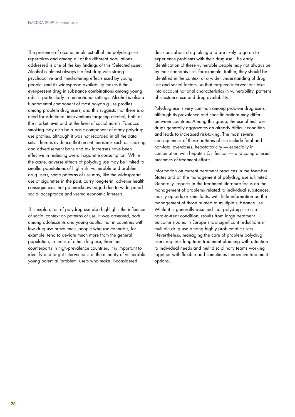The presence of alcohol in almost all of the polydrug-use repertoires and among all of the different populations addressed is one of the key findings of this 'Selected issue'. Alcohol is almost always the first drug with strong psychoactive and mind-altering effects used by young people, and its widespread availability makes it the ever-present drug in substance combinations among young adults, particularly in recreational settings. Alcohol is also a fundamental component of most polydrug use profiles among problem drug users; and this suggests that there is a need for additional interventions targeting alcohol, both at the market level and at the level of social norms. Tobacco smoking may also be a basic component of many polydrug use profiles, although it was not recorded in all the data sets. There is evidence that recent measures such as smoking and advertisement bans and tax increases have been effective in reducing overall cigarette consumption. While the acute, adverse effects of polydrug use may be limited to smaller populations of high-risk, vulnerable and problem drug users, some patterns of use may, like the widespread use of cigarettes in the past, carry long-term, adverse health consequences that go unacknowledged due to widespread social acceptance and vested economic interests.

This exploration of polydrug use also highlights the influence of social context on patterns of use. It was observed, both among adolescents and young adults, that in countries with low drug use prevalence, people who use cannabis, for example, tend to deviate much more from the general population, in terms of other drug use, than their counterparts in high-prevalence countries. It is important to identify and target interventions at the minority of vulnerable young potential 'problem' users who make ill-considered

decisions about drug taking and are likely to go on to experience problems with their drug use. The early identification of these vulnerable people may not always be by their cannabis use, for example. Rather, they should be identified in the context of a wider understanding of drug use and social factors, so that targeted interventions take into account national characteristics in vulnerability, patterns of substance use and drug availability.

Polydrug use is very common among problem drug users, although its prevalence and specific pattern may differ between countries. Among this group, the use of multiple drugs generally aggravates an already difficult condition and leads to increased risk-taking. The most severe consequences of these patterns of use include fatal and non-fatal overdoses, hepatotoxicity — especially in combination with hepatitis C infection — and compromised outcomes of treatment efforts.

Information on current treatment practices in the Member States and on the management of polydrug use is limited. Generally, reports in the treatment literature focus on the management of problems related to individual substances, mostly opioids or stimulants, with little information on the management of those related to multiple substance use. While it is generally assumed that polydrug use is a hard-to-treat condition, results from large treatment outcome studies in Europe show significant reductions in multiple drug use among highly problematic users. Nevertheless, managing the care of problem polydrug users requires long-term treatment planning with attention to individual needs and multidisciplinary teams working together with flexible and sometimes innovative treatment options.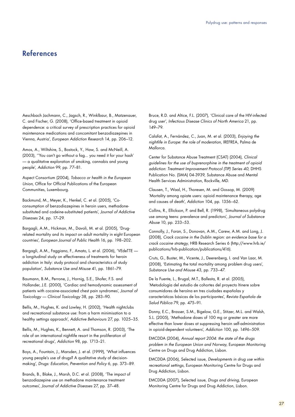<span id="page-28-0"></span>Aeschbach Jachmann, C., Jagsch, R., Winklbaur, B., Matzenauer, C. and Fischer, G. (2008), 'Office-based treatment in opioid dependence: a critical survey of prescription practices for opioid maintenance medications and concomitant benzodiazepines in Vienna, Austria', *European Addiction Research* 14, pp. 206–12.

Amos, A., Wiltshire, S., Bostock, Y., Haw, S. and McNeill, A. (2003), ''You can't go without a fag... you need it for your hash' — a qualitative exploration of smoking, cannabis and young people', *Addiction* 99, pp. 77–81.

Aspect Consortium (2004), *Tobacco or health in the European Union*, Office for Official Publications of the European Communities, Luxembourg.

Backmund, M., Meyer, K., Henkel, C. et al. (2005), 'Coconsumption of benzodiazepines in heroin users, methadonesubstituted and codeine-substituted patients', *Journal of Addictive Diseases* 24, pp. 17–29.

Bargagli, A.M., Hickman, M., Davoli, M. et al. (2005), 'Drugrelated mortality and its impact on adult mortality in eight European countries', *European Journal of Public Health* 16, pp. 198–202.

Bargagli, A.M., Faggiano, F., Amato, L. et al. (2006), 'VEdeTTE a longitudinal study on effectiveness of treatments for heroin addiction in Italy: study protocol and characteristics of study population', *Substance Use and Misuse* 41, pp. 1861–79.

Baumann, B.M., Perrone, J., Hornig, S.E., Shofer, F.S. and Hollander, J.E. (2000), 'Cardiac and hemodynamic assessment of patients with cocaine-associated chest pain syndromes', *Journal of Toxicology — Clinical Toxicology* 38, pp. 283–90.

Bellis, M., Hughes, K. and Lowley, H. (2002), 'Health nightclubs and recreational substance use: from a harm minimisation to a healthy settings approach', *Addictive Behaviours* 27, pp. 1025–35.

Bellis, M., Hughes, K., Bennett, A. and Thomson, R. (2003), 'The role of an international nightlife resort in the proliferation of recreational drugs', *Addiction* 98, pp. 1713–21.

Boys, A., Fountain, J., Marsden, J. et al. (1999), 'What influences young people's use of drugs? A qualitative study of decisionmaking', *Drugs: Education, Prevention and Policy* 6, pp. 373–89.

Brands, B., Blake, J., Marsh, D.C. et al. (2008), 'The impact of benzodiazepine use on methadone maintenance treatment outcomes', *Journal of Addictive Diseases* 27, pp. 37–48.

Bruce, R.D. and Altice, F.L. (2007), 'Clinical care of the HIV-infected drug user', *Infectious Disease Clinics of North America* 21, pp. 149–79.

Calafat, A., Fernández, C., Juan, M. et al. (2003), *Enjoying the nightlife in Europe: the role of moderation*, IREFREA, Palma de Mallorca.

Center for Substance Abuse Treatment (CSAT) (2004), *Clinical guidelines for the use of buprenorphine in the treatment of opioid addiction: Treatment Improvement Protocol (TIP) Series 40*, DHHS Publication No. (SMA) 04-3939, Substance Abuse and Mental Health Services Administration, Rockville, MD.

Clausen, T., Waal, H., Thoresen, M. and Gossop, M. (2009) 'Mortality among opiate users: opioid maintenance therapy, age and causes of death', *Addiction* 104, pp. 1356–62.

Collins, R., Ellickson, P. and Bell, R. (1998), 'Simultaneous polydrug use among teens: prevalence and predictors', *Journal of Substance Abuse* 10, pp. 233–53.

Connolly, J., Foran, S., Donovan, A.M., Carew, A.M. and Long, J. (2008), *Crack cocaine in the Dublin region: an evidence base for a crack cocaine strategy*, HRB Research Series 6 (http://www.hrb.ie/ publications/hrb-publication/publications/416).

Cruts, G., Buster, M., Vicente, J., Deerenberg, I. and Van Laar, M. (2008), 'Estimating the total mortality among problem drug users', *Substance Use and Misuse* 43, pp. 733–47.

De la Fuente, L., Brugal, M.T., Ballesta, R. et al. (2005), 'Metodología del estudio de cohortes del proyecto Itinere sobre consumidores de heroína en tres ciudades españolas y características básicas de los participantes', *Revista Española de Salud Pública* 79, pp. 475–91.

Donny, E.C., Brasser, S.M., Bigelow, G.E., Stitzer, M.L. and Walsh, S.L. (2005), 'Methadone doses of 100 mg or greater are more effective than lower doses at suppressing heroin self-administration in opioid-dependent volunteers', *Addiction* 100, pp. 1496–509.

EMCDDA (2004), *Annual report 2004: the state of the drugs problem in the European Union and Norway*, European Monitoring Centre on Drugs and Drug Addiction, Lisbon.

EMCDDA (2006), Selected issue, *Developments in drug use within recreational settings*, European Monitoring Centre for Drugs and Drug Addiction, Lisbon.

EMCDDA (2007), Selected issue, *Drugs and driving*, European Monitoring Centre for Drugs and Drug Addiction, Lisbon.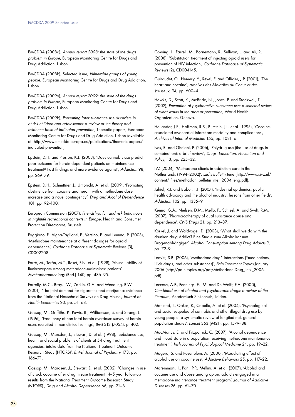EMCDDA (2008a), *Annual report 2008: the state of the drugs problem in Europe*, European Monitoring Centre for Drugs and Drug Addiction, Lisbon.

EMCDDA (2008b), Selected issue, *Vulnerable groups of young people*, European Monitoring Centre for Drugs and Drug Addiction, Lisbon.

EMCDDA (2009a), *Annual report 2009: the state of the drugs problem in Europe*, European Monitoring Centre for Drugs and Drug Addiction, Lisbon.

EMCDDA (2009b), *Preventing later substance use disorders in at-risk children and adolescents: a review of the theory and evidence base of indicated prevention,* Thematic papers, European Monitoring Centre for Drugs and Drug Addiction, Lisbon (available at: http://www.emcdda.europa.eu/publications/thematic-papers/ indicated-prevention).

Epstein, D.H. and Preston, K.L. (2003), 'Does cannabis use predict poor outcome for heroin-dependent patients on maintenance treatment? Past findings and more evidence against', *Addiction* 98, pp. 269–79.

Epstein, D.H., Schmittner, J., Umbricht, A. et al. (2009), 'Promoting abstinence from cocaine and heroin with a methadone dose increase and a novel contingency', *Drug and Alcohol Dependence* 101, pp. 92–100.

European Commission (2007), *Friendship, fun and risk behaviours in nightlife recreational contexts in Europe*, Health and Consumer Protection Directorate, Brussels.

Faggiano, F., Vigna-Taglianti, F., Versino, E. and Lemma, P. (2003), 'Methadone maintenance at different dosages for opioid dependence', *Cochrane Database of Systematic Reviews* (3), CD002208.

Farré, M., Terán, M.T., Roset, P.N. et al. (1998), 'Abuse liability of flunitrazepam among methadone-maintained patients', *Psychopharmacology* (Berl.) 140, pp. 486–95.

Farrelly, M.C., Bray, J.W., Zarkin, G.A. and Wendling, B.W. (2001), 'The joint demand for cigarettes and marijuana: evidence from the National Household Surveys on Drug Abuse', *Journal of Health Economics* 20, pp. 51–68.

Gossop, M., Griffiths, P., Powis, B., Williamson, S. and Strang, J. (1996), 'Frequency of non-fatal heroin overdose: survey of heroin users recruited in non-clinical settings', *BMJ* 313 (7054), p. 402.

Gossop, M., Marsden, J., Stewart, D. et al. (1998), 'Substance use, health and social problems of clients at 54 drug treatment agencies: intake data from the National Treatment Outcome Research Study (NTORS)', *British Journal of Psychiatry* 173, pp. 166–71.

Gossop, M., Mardsen, J., Stewart, D. et al. (2002), 'Changes in use of crack cocaine after drug misuse treatment: 4–5 year follow-up results from the National Treatment Outcome Research Study (NTORS)', *Drug and Alcohol Dependence* 66, pp. 21–8.

Gowing, L., Farrell, M., Bornemann, R., Sullivan, L. and Ali, R. (2008), 'Substitution treatment of injecting opioid users for prevention of HIV infection', *Cochrane Database of Systematic Reviews* (2), CD004145.

Guiraudet, O., Hemery, Y., Revel, F. and Ollivier, J.P. (2001), 'The heart and cocaine', *Archives des Maladies du Coeur et des Vaisseux*, 94, pp. 600–4.

Hawks, D., Scott, K., McBride, N., Jones, P. and Stockwell, T. (2002), *Prevention of psychoactive substance use: a selected review of what works in the area of prevention*, World Health Organization, Geneva.

Hollander, J.E., Hoffman, R.S., Burstein, J.L. et al. (1995), 'Cocaineassociated myocardial infarction: mortality and complications', *Archives of Internal Medicine* 155, pp. 1081–6.

Ives, R. and Ghelani, P. (2006), 'Polydrug use (the use of drugs in combination): a brief review', *Drugs: Education, Prevention and Policy*, 13, pp. 225–32.

IVZ (2004), 'Methadone clients in addiction care in the Netherlands (1994–2002)', *Ladis Bulletin* June (http://www.sivz.nl/ content/\_files/methadon\_bulletin\_mei\_2004\_eng.pdf).

Jahiel, R.I. and Babor, T.F. (2007), 'Industrial epidemics, public health advocacy and the alcohol industry: lessons from other fields', *Addiction* 102, pp. 1335–9.

Kenna, G.A., Nielsen, D.M., Mello, P., Schiesl, A. and Swift, R.M. (2007), 'Pharmacotherapy of dual substance abuse and dependence', *CNS Drugs* 21, pp. 213–37.

Körkel, J. and Waldvogel, D. (2008), 'What shall we do with the drunken drug Addict? Eine Studie zum Alkoholkonsum Drogenabhängiger', *Alcohol Consumption Among Drug Addicts* 9, pp. 72–9.

Leavitt, S.B. (2006), 'Methadone-drug\* interactions (\*medications, illicit drugs, and other substances)', *Pain Treatment Topics* January 2006 (http://pain-topics.org/pdf/Methadone-Drug\_Intx\_2006. pdf).

Leccese, A.P., Pennings, E.J.M. and De Wolff, F.A. (2000), *Combined use of alcohol and psychotropic drugs: a review of the literature*, Academisch Ziekenhuis, Leiden.

Macleod, J., Oakes, R., Copello, A. et al. (2004), 'Psychological and social sequelae of cannabis and other illegal drug use by young people: a systematic review of longitudinal, general population studies', *Lancet* 363 (9421), pp. 1579–88.

MacManus, E. and Fitzpatrick, C. (2007), 'Alcohol dependence and mood state in a population receiving methadone maintenance treatment', *Irish Journal of Psychological Medicine* 24, pp. 19–22.

Magura, S. and Rosenblum, A. (2000), 'Modulating effect of alcohol use on cocaine use', *Addictive Behaviors* 25, pp. 117–22.

Maremmani, I., Pani, P.P., Mellini, A. et al. (2007), 'Alcohol and cocaine use and abuse among opioid addicts engaged in a methadone maintenance treatment program', *Journal of Addictive Diseases* 26, pp. 61–70.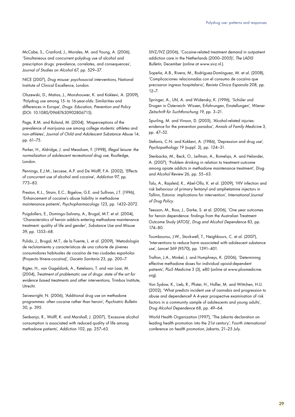McCabe, S., Cranford, J., Morales, M. and Young, A. (2006), 'Simultaneous and concurrent polydrug use of alcohol and prescription drugs: prevalence, correlates, and consequences', *Journal of Studies on Alcohol* 67, pp. 529–37.

NICE (2007), *Drug misuse: psychosocial interventions,* National Institute of Clinical Excellence, London.

Olszewski, D., Matias, J., Monshouwer, K. and Kokkevi, A. (2009), 'Polydrug use among 15- to 16-year-olds: Similarities and differences in Europe', *Drugs: Education, Prevention and Policy* (DOI: 10.1080/09687630902806715).

Page, R.M. and Roland, M. (2004), 'Misperceptions of the prevalence of marijuana use among college students: athletes and non-athletes', *Journal of Child and Adolescent Substance Abuse* 14, pp. 61–75.

Parker, H., Aldridge, J. and Measham, F. (1998), *Illegal leisure: the normalization of adolescent recreational drug use*, Routledge, London.

Pennings, E.J.M., Leccese, A.P. and De Wolff, F.A. (2002), 'Effects of concurrent use of alcohol and cocaine', *Addiction* 97, pp. 773*–*83.

Preston, K.L., Strain, E.C., Bigelow, G.E. and Sullivan, J.T. (1996), 'Enhancement of cocaine's abuse liability in methadone maintenance patients', *Psychopharmacology* 123, pp. 1432–2072.

Puigdollers, E., Domingo-Salvany, A., Brugal, M.T. et al. (2004), 'Characteristics of heroin addicts entering methadone maintenance treatment: quality of life and gender', *Substance Use and Misuse* 39, pp. 1353–68.

Pulido, J., Brugal, M.T., de la Fuente, L. et al. (2009), 'Metodología de reclutamiento y características de una cohorte de jóvenes consumidores habituales de cocaína de tres ciudades españolas (Proyecto Itínere-cocaína)', *Gaceta Sanitaria* 23, pp. 200–7.

Rigter, H., van Gageldonk, A., Ketelaars, T. and van Laar, M. (2004), *Treatment of problematic use of drugs: state of the art for evidence based treatments and other interventions*, Trimbos Institute, Utrecht.

Seivewright, N. (2006), 'Additional drug use on methadone programmes: often cocaine rather than heroin', *Psychiatric Bulletin* 30, p. 395.

Senbanjo, R., Wolff, K. and Marshall, J. (2007), 'Excessive alcohol consumption is associated with reduced quality of life among methadone patients', *Addiction* 102, pp. 257–63.

SIVZ/IVZ (2006), 'Cocaine-related treatment demand in outpatient addiction care in the Netherlands (2000–2005)', *The LADIS Bulletin*, December (online at www.sivz.nl.).

Sopeña, A.B., Rivera, M., Rodríguez-Domínguez, M. et al. (2008), 'Complicaciones relacionadas con el consumo de cocaína que precisaron ingreso hospitalario', *Revista Clinica Espanola* 208, pp. 12–7.

Springer, A., Uhl, A. and Widensky, K. (1996), 'Schüler und Drogen in Österreich: Wissen, Erfahrungen, Einstellungen', *Wiener Zeitschrift für Suchtforschung* 19, pp. 3–21.

Spurling, M. and Vinson, D. (2005), 'Alcohol-related injuries: evidence for the prevention paradox', *Annals of Family Medicine* 3, pp. 47–52.

Stefanis, C.N. and Kokkevi, A. (1986), 'Depression and drug use', *Psychopathology* 19 (suppl. 2), pp. 124–31.

Stenbacka, M., Beck, O., Leifman, A., Romelsjo, A. and Helander, A. (2007), 'Problem drinking in relation to treatment outcome among opiate addicts in methadone maintenance treatment', *Drug and Alcohol Review* 26, pp. 55–63.

Talu, A., Rajaleid, K., Abel-Ollo, K. et al. (2009), 'HIV infection and risk behaviour of primary fentanyl and amphetamine injectors in Tallinn, Estonia: implications for intervention', *International Journal of Drug Policy*.

Teesson, M., Ross, J., Darke, S. et al. (2006), 'One year outcomes for heroin dependence: findings from the Australian Treatment Outcome Study (ATOS)', *Drug and Alcohol Dependence* 83, pp. 174–80.

Toumbourou, J.W., Stockwell, T., Neighbours, C. et al. (2007), 'Interventions to reduce harm associated with adolescent substance use', *Lancet* 369 (9570), pp. 1391–401.

Trafton, J.A., Minkel, J. and Humphreys, K. (2006), 'Determining effective methadone doses for individual opioid-dependent patients', *PLoS Medicine* 3 (3), e80 (online at www.plosmedicine. org).

Von Sydow, K., Lieb, R., Pfister, H., Hofler, M. and Wittchen, H.U. (2002), 'What predicts incident use of cannabis and progression to abuse and dependence? A 4-year prospective examination of risk factors in a community sample of adolescents and young adults', *Drug Alcohol Dependence* 68, pp. 49–64.

World Health Organization (1997), 'The Jakarta declaration on leading health promotion into the 21st century', *Fourth international conference on health promotion*, Jakarta, 21–25 July.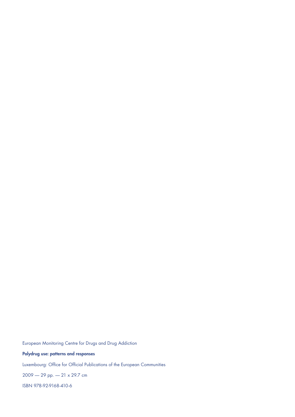European Monitoring Centre for Drugs and Drug Addiction

# Polydrug use: patterns and responses

Luxembourg: Office for Official Publications of the European Communities

2009 — 29 pp. — 21 x 29.7 cm

ISBN 978-92-9168-410-6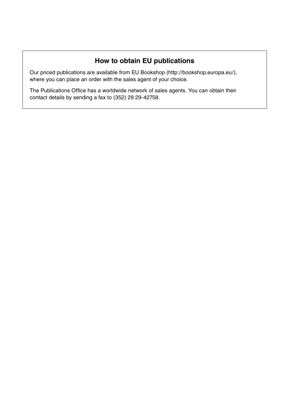# **How to obtain EU publications**

Our priced publications are available from EU Bookshop (http://bookshop.europa.eu/), where you can place an order with the sales agent of your choice.

The Publications Office has a worldwide network of sales agents. You can obtain their contact details by sending a fax to (352) 29 29-42758.